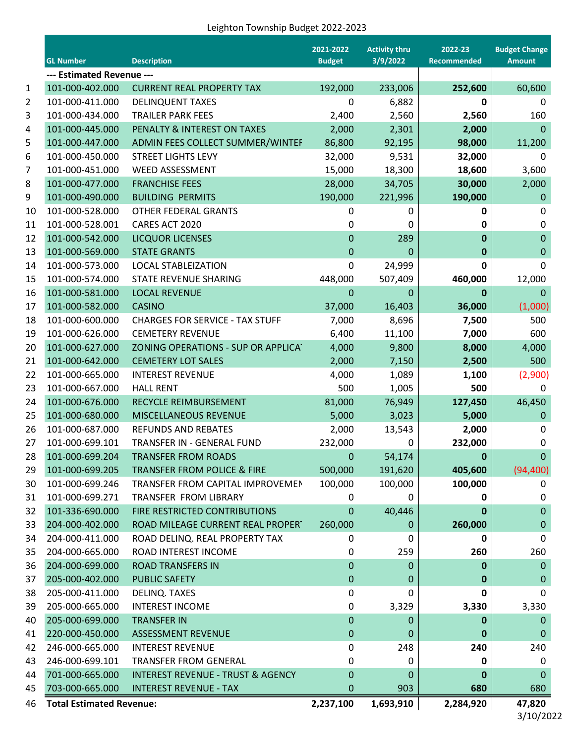## Leighton Township Budget 2022-2023

|                           | <b>GL Number</b>                | <b>Description</b>                           | 2021-2022<br><b>Budget</b> | <b>Activity thru</b><br>3/9/2022 | 2022-23<br><b>Recommended</b> | <b>Budget Change</b><br><b>Amount</b> |  |
|---------------------------|---------------------------------|----------------------------------------------|----------------------------|----------------------------------|-------------------------------|---------------------------------------|--|
| --- Estimated Revenue --- |                                 |                                              |                            |                                  |                               |                                       |  |
| $\mathbf 1$               | 101-000-402.000                 | <b>CURRENT REAL PROPERTY TAX</b>             | 192,000                    | 233,006                          | 252,600                       | 60,600                                |  |
| $\overline{2}$            | 101-000-411.000                 | <b>DELINQUENT TAXES</b>                      | 0                          | 6,882                            | 0                             | 0                                     |  |
| 3                         | 101-000-434.000                 | <b>TRAILER PARK FEES</b>                     | 2,400                      | 2,560                            | 2,560                         | 160                                   |  |
| 4                         | 101-000-445.000                 | PENALTY & INTEREST ON TAXES                  | 2,000                      | 2,301                            | 2,000                         | $\mathbf 0$                           |  |
| 5                         | 101-000-447.000                 | ADMIN FEES COLLECT SUMMER/WINTEF             | 86,800                     | 92,195                           | 98,000                        | 11,200                                |  |
| 6                         | 101-000-450.000                 | <b>STREET LIGHTS LEVY</b>                    | 32,000                     | 9,531                            | 32,000                        | 0                                     |  |
| 7                         | 101-000-451.000                 | <b>WEED ASSESSMENT</b>                       | 15,000                     | 18,300                           | 18,600                        | 3,600                                 |  |
| 8                         | 101-000-477.000                 | <b>FRANCHISE FEES</b>                        | 28,000                     | 34,705                           | 30,000                        | 2,000                                 |  |
| 9                         | 101-000-490.000                 | <b>BUILDING PERMITS</b>                      | 190,000                    | 221,996                          | 190,000                       | 0                                     |  |
| 10                        | 101-000-528.000                 | OTHER FEDERAL GRANTS                         | 0                          | 0                                | 0                             | 0                                     |  |
| 11                        | 101-000-528.001                 | CARES ACT 2020                               | 0                          | 0                                | 0                             | 0                                     |  |
| 12                        | 101-000-542.000                 | <b>LICQUOR LICENSES</b>                      | 0                          | 289                              | 0                             | $\pmb{0}$                             |  |
| 13                        | 101-000-569.000                 | <b>STATE GRANTS</b>                          | $\mathbf 0$                | 0                                | 0                             | $\pmb{0}$                             |  |
| 14                        | 101-000-573.000                 | <b>LOCAL STABLEIZATION</b>                   | 0                          | 24,999                           | 0                             | 0                                     |  |
| 15                        | 101-000-574.000                 | STATE REVENUE SHARING                        | 448,000                    | 507,409                          | 460,000                       | 12,000                                |  |
| 16                        | 101-000-581.000                 | <b>LOCAL REVENUE</b>                         | 0                          | 0                                | 0                             | $\Omega$                              |  |
| 17                        | 101-000-582.000                 | <b>CASINO</b>                                | 37,000                     | 16,403                           | 36,000                        | (1,000)                               |  |
| 18                        | 101-000-600.000                 | <b>CHARGES FOR SERVICE - TAX STUFF</b>       | 7,000                      | 8,696                            | 7,500                         | 500                                   |  |
| 19                        | 101-000-626.000                 | <b>CEMETERY REVENUE</b>                      | 6,400                      | 11,100                           | 7,000                         | 600                                   |  |
| 20                        | 101-000-627.000                 | ZONING OPERATIONS - SUP OR APPLICAT          | 4,000                      | 9,800                            | 8,000                         | 4,000                                 |  |
| 21                        | 101-000-642.000                 | <b>CEMETERY LOT SALES</b>                    | 2,000                      | 7,150                            | 2,500                         | 500                                   |  |
| 22                        | 101-000-665.000                 | <b>INTEREST REVENUE</b>                      | 4,000                      | 1,089                            | 1,100                         | (2,900)                               |  |
| 23                        | 101-000-667.000                 | <b>HALL RENT</b>                             | 500                        | 1,005                            | 500                           | 0                                     |  |
| 24                        | 101-000-676.000                 | RECYCLE REIMBURSEMENT                        | 81,000                     | 76,949                           | 127,450                       | 46,450                                |  |
| 25                        | 101-000-680.000                 | MISCELLANEOUS REVENUE                        | 5,000                      | 3,023                            | 5,000                         | $\mathbf 0$                           |  |
| 26                        | 101-000-687.000                 | <b>REFUNDS AND REBATES</b>                   | 2,000                      | 13,543                           | 2,000                         | 0                                     |  |
| 27                        | 101-000-699.101                 | TRANSFER IN - GENERAL FUND                   | 232,000                    | 0                                | 232,000                       | 0                                     |  |
| 28                        | 101-000-699.204                 | <b>TRANSFER FROM ROADS</b>                   | 0                          | 54,174                           | 0                             | $\mathbf{0}$                          |  |
| 29                        | 101-000-699.205                 | <b>TRANSFER FROM POLICE &amp; FIRE</b>       | 500,000                    | 191,620                          | 405,600                       | (94, 400)                             |  |
| 30                        | 101-000-699.246                 | TRANSFER FROM CAPITAL IMPROVEMEN             | 100,000                    | 100,000                          | 100,000                       | 0                                     |  |
| 31                        | 101-000-699.271                 | TRANSFER FROM LIBRARY                        | 0                          | 0                                | 0                             | 0                                     |  |
| 32                        | 101-336-690.000                 | FIRE RESTRICTED CONTRIBUTIONS                | $\mathbf 0$                | 40,446                           | 0                             | $\boldsymbol{0}$                      |  |
| 33                        | 204-000-402.000                 | ROAD MILEAGE CURRENT REAL PROPERT            | 260,000                    | 0                                | 260,000                       | 0                                     |  |
| 34                        | 204-000-411.000                 | ROAD DELINQ. REAL PROPERTY TAX               | 0                          | 0                                | 0                             | 0                                     |  |
| 35                        | 204-000-665.000                 | ROAD INTEREST INCOME                         | 0                          | 259                              | 260                           | 260                                   |  |
| 36                        | 204-000-699.000                 | <b>ROAD TRANSFERS IN</b>                     | 0                          | 0                                | 0                             | $\mathbf{0}$                          |  |
| 37                        | 205-000-402.000                 | <b>PUBLIC SAFETY</b>                         | 0                          | 0                                | 0                             | $\pmb{0}$                             |  |
| 38                        | 205-000-411.000                 | DELINQ. TAXES                                | 0                          | 0                                | 0                             | 0                                     |  |
| 39                        | 205-000-665.000                 | <b>INTEREST INCOME</b>                       | 0                          | 3,329                            | 3,330                         | 3,330                                 |  |
| 40                        | 205-000-699.000                 | <b>TRANSFER IN</b>                           | 0                          | 0                                | 0                             | $\mathbf 0$                           |  |
| 41                        | 220-000-450.000                 | <b>ASSESSMENT REVENUE</b>                    | 0                          | 0                                | 0                             | $\mathbf 0$                           |  |
| 42                        | 246-000-665.000                 | <b>INTEREST REVENUE</b>                      | 0                          | 248                              | 240                           | 240                                   |  |
| 43                        | 246-000-699.101                 | <b>TRANSFER FROM GENERAL</b>                 | 0                          | 0                                | 0                             | 0                                     |  |
| 44                        | 701-000-665.000                 | <b>INTEREST REVENUE - TRUST &amp; AGENCY</b> | $\mathbf 0$                | 0                                | 0                             | $\pmb{0}$                             |  |
| 45                        | 703-000-665.000                 | <b>INTEREST REVENUE - TAX</b>                | 0                          | 903                              | 680                           | 680                                   |  |
| 46                        | <b>Total Estimated Revenue:</b> |                                              | 2,237,100                  | 1,693,910                        | 2,284,920                     | 47,820                                |  |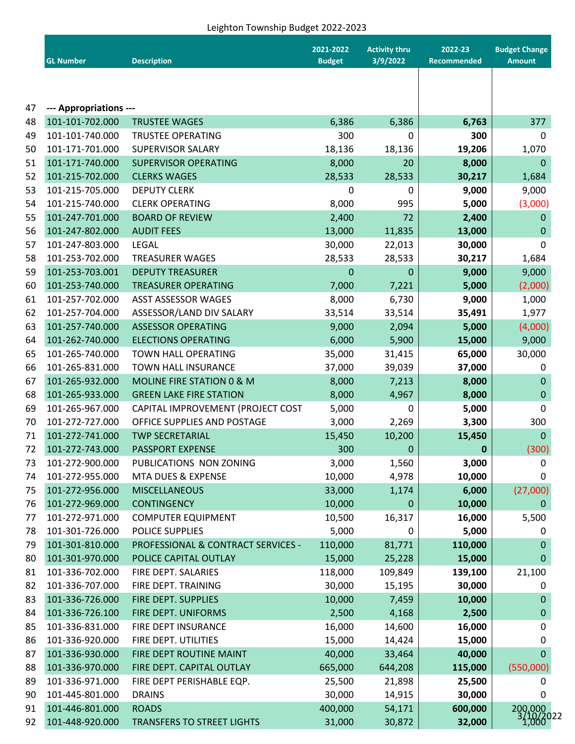## Leighton Township Budget 2022-2023

|    | <b>GL Number</b>       | <b>Description</b>                 | 2021-2022<br><b>Budget</b> | <b>Activity thru</b><br>3/9/2022 | 2022-23<br>Recommended | <b>Budget Change</b><br><b>Amount</b> |
|----|------------------------|------------------------------------|----------------------------|----------------------------------|------------------------|---------------------------------------|
|    |                        |                                    |                            |                                  |                        |                                       |
| 47 | --- Appropriations --- |                                    |                            |                                  |                        |                                       |
| 48 | 101-101-702.000        | <b>TRUSTEE WAGES</b>               | 6,386                      | 6,386                            | 6,763                  | 377                                   |
| 49 | 101-101-740.000        | <b>TRUSTEE OPERATING</b>           | 300                        | 0                                | 300                    | 0                                     |
| 50 | 101-171-701.000        | <b>SUPERVISOR SALARY</b>           | 18,136                     | 18,136                           | 19,206                 | 1,070                                 |
| 51 | 101-171-740.000        | <b>SUPERVISOR OPERATING</b>        | 8,000                      | 20                               | 8,000                  | 0                                     |
| 52 | 101-215-702.000        | <b>CLERKS WAGES</b>                | 28,533                     | 28,533                           | 30,217                 | 1,684                                 |
| 53 | 101-215-705.000        | <b>DEPUTY CLERK</b>                | 0                          | 0                                | 9,000                  | 9,000                                 |
| 54 | 101-215-740.000        | <b>CLERK OPERATING</b>             | 8,000                      | 995                              | 5,000                  | (3,000)                               |
| 55 | 101-247-701.000        | <b>BOARD OF REVIEW</b>             | 2,400                      | 72                               | 2,400                  | 0                                     |
| 56 | 101-247-802.000        | <b>AUDIT FEES</b>                  | 13,000                     | 11,835                           | 13,000                 | 0                                     |
| 57 | 101-247-803.000        | <b>LEGAL</b>                       | 30,000                     | 22,013                           | 30,000                 | 0                                     |
| 58 | 101-253-702.000        | <b>TREASURER WAGES</b>             | 28,533                     | 28,533                           | 30,217                 | 1,684                                 |
| 59 | 101-253-703.001        | <b>DEPUTY TREASURER</b>            | 0                          | 0                                | 9,000                  | 9,000                                 |
| 60 | 101-253-740.000        | <b>TREASURER OPERATING</b>         | 7,000                      | 7,221                            | 5,000                  | (2,000)                               |
| 61 | 101-257-702.000        | <b>ASST ASSESSOR WAGES</b>         | 8,000                      | 6,730                            | 9,000                  | 1,000                                 |
| 62 | 101-257-704.000        | ASSESSOR/LAND DIV SALARY           | 33,514                     | 33,514                           | 35,491                 | 1,977                                 |
| 63 | 101-257-740.000        | <b>ASSESSOR OPERATING</b>          | 9,000                      | 2,094                            | 5,000                  | (4,000)                               |
| 64 | 101-262-740.000        | <b>ELECTIONS OPERATING</b>         | 6,000                      | 5,900                            | 15,000                 | 9,000                                 |
| 65 | 101-265-740.000        | TOWN HALL OPERATING                | 35,000                     | 31,415                           | 65,000                 | 30,000                                |
| 66 | 101-265-831.000        | TOWN HALL INSURANCE                | 37,000                     | 39,039                           | 37,000                 | 0                                     |
| 67 | 101-265-932.000        | MOLINE FIRE STATION 0 & M          | 8,000                      | 7,213                            | 8,000                  | 0                                     |
| 68 | 101-265-933.000        | <b>GREEN LAKE FIRE STATION</b>     | 8,000                      | 4,967                            | 8,000                  | 0                                     |
| 69 | 101-265-967.000        | CAPITAL IMPROVEMENT (PROJECT COST  | 5,000                      | 0                                | 5,000                  | 0                                     |
| 70 | 101-272-727.000        | OFFICE SUPPLIES AND POSTAGE        | 3,000                      | 2,269                            | 3,300                  | 300                                   |
| 71 | 101-272-741.000        | <b>TWP SECRETARIAL</b>             | 15,450                     | 10,200                           | 15,450                 | 0                                     |
| 72 | 101-272-743.000        | PASSPORT EXPENSE                   | 300                        | $\mathbf 0$                      | 0                      | (300)                                 |
| 73 | 101-272-900.000        | PUBLICATIONS NON ZONING            | 3,000                      | 1,560                            | 3,000                  | 0                                     |
| 74 | 101-272-955.000        | MTA DUES & EXPENSE                 | 10,000                     | 4,978                            | 10,000                 | 0                                     |
| 75 | 101-272-956.000        | <b>MISCELLANEOUS</b>               | 33,000                     | 1,174                            | 6,000                  | (27,000)                              |
| 76 | 101-272-969.000        | <b>CONTINGENCY</b>                 | 10,000                     | 0                                | 10,000                 | 0                                     |
| 77 | 101-272-971.000        | <b>COMPUTER EQUIPMENT</b>          | 10,500                     | 16,317                           | 16,000                 | 5,500                                 |
| 78 | 101-301-726.000        | POLICE SUPPLIES                    | 5,000                      | 0                                | 5,000                  | 0                                     |
| 79 | 101-301-810.000        | PROFESSIONAL & CONTRACT SERVICES - | 110,000                    | 81,771                           | 110,000                | 0                                     |
| 80 | 101-301-970.000        | POLICE CAPITAL OUTLAY              | 15,000                     | 25,228                           | 15,000                 | 0                                     |
| 81 | 101-336-702.000        | FIRE DEPT. SALARIES                | 118,000                    | 109,849                          | 139,100                | 21,100                                |
| 82 | 101-336-707.000        | FIRE DEPT. TRAINING                | 30,000                     | 15,195                           | 30,000                 | 0                                     |
| 83 | 101-336-726.000        | FIRE DEPT. SUPPLIES                | 10,000                     | 7,459                            | 10,000                 | 0                                     |
| 84 | 101-336-726.100        | FIRE DEPT. UNIFORMS                | 2,500                      | 4,168                            | 2,500                  | 0                                     |
| 85 | 101-336-831.000        | FIRE DEPT INSURANCE                | 16,000                     | 14,600                           | 16,000                 | 0                                     |
| 86 | 101-336-920.000        | FIRE DEPT. UTILITIES               | 15,000                     | 14,424                           | 15,000                 | 0                                     |
| 87 | 101-336-930.000        | FIRE DEPT ROUTINE MAINT            | 40,000                     | 33,464                           | 40,000                 | 0                                     |
| 88 | 101-336-970.000        | FIRE DEPT. CAPITAL OUTLAY          | 665,000                    | 644,208                          | 115,000                | (550,000)                             |
| 89 | 101-336-971.000        | FIRE DEPT PERISHABLE EQP.          | 25,500                     | 21,898                           | 25,500                 | 0                                     |
|    | 101-445-801.000        | <b>DRAINS</b>                      | 30,000                     |                                  | 30,000                 |                                       |
| 90 |                        |                                    | 400,000                    | 14,915                           | 600,000                | 0                                     |
| 91 | 101-446-801.000        | <b>ROADS</b>                       |                            | 54,171                           |                        | 200,000<br>3/10/2022<br>1,000         |
| 92 | 101-448-920.000        | <b>TRANSFERS TO STREET LIGHTS</b>  | 31,000                     | 30,872                           | 32,000                 |                                       |